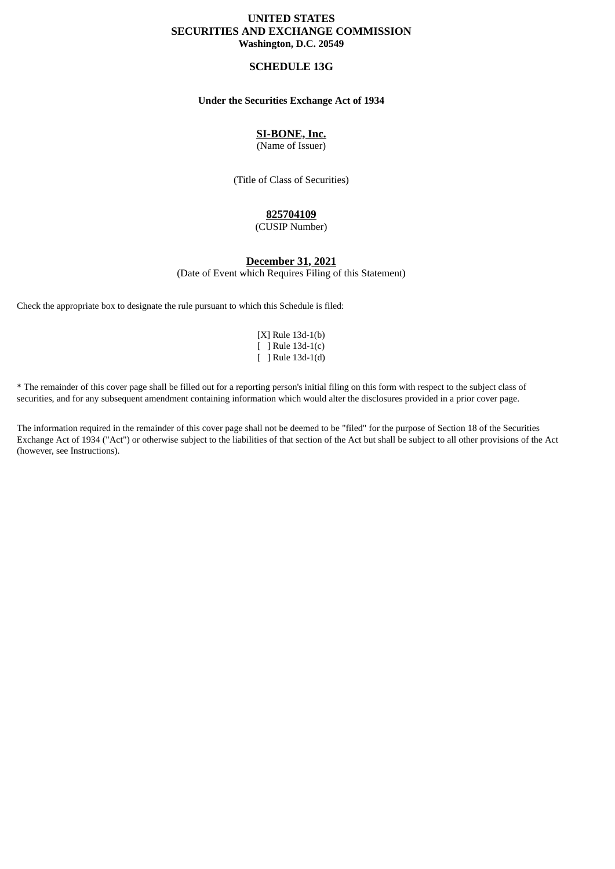# **UNITED STATES SECURITIES AND EXCHANGE COMMISSION Washington, D.C. 20549**

## **SCHEDULE 13G**

## **Under the Securities Exchange Act of 1934**

# **SI-BONE, Inc.**

(Name of Issuer)

(Title of Class of Securities)

## **825704109**

(CUSIP Number)

# **December 31, 2021**

(Date of Event which Requires Filing of this Statement)

Check the appropriate box to designate the rule pursuant to which this Schedule is filed:

|   | $[X]$ Rule 13d-1(b)    |
|---|------------------------|
|   | $\lceil$ Rule 13d-1(c) |
| L | Rule 13d-1(d)          |

\* The remainder of this cover page shall be filled out for a reporting person's initial filing on this form with respect to the subject class of securities, and for any subsequent amendment containing information which would alter the disclosures provided in a prior cover page.

The information required in the remainder of this cover page shall not be deemed to be "filed" for the purpose of Section 18 of the Securities Exchange Act of 1934 ("Act") or otherwise subject to the liabilities of that section of the Act but shall be subject to all other provisions of the Act (however, see Instructions).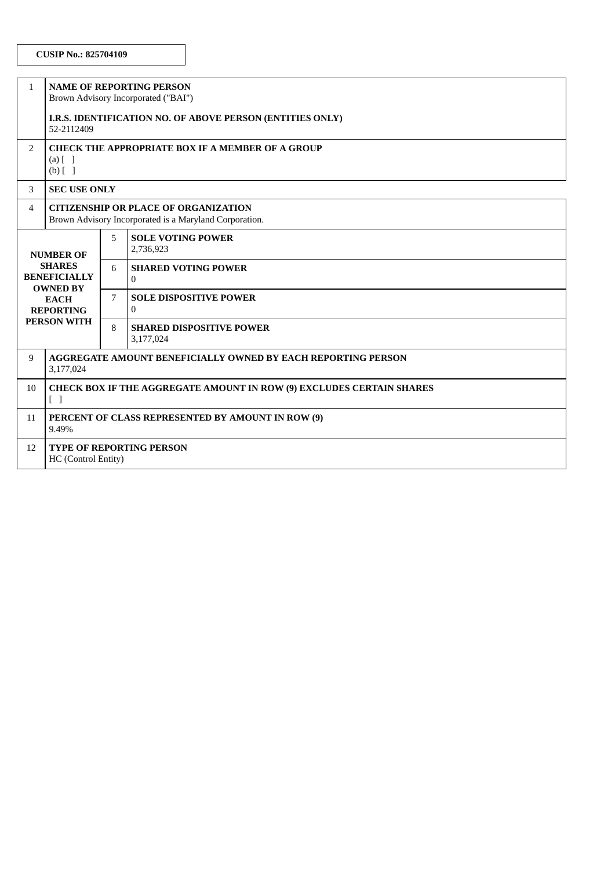| $\mathbf{1}$                                                                                                                         | <b>NAME OF REPORTING PERSON</b><br>Brown Advisory Incorporated ("BAI")                                           |   |                                                 |  |
|--------------------------------------------------------------------------------------------------------------------------------------|------------------------------------------------------------------------------------------------------------------|---|-------------------------------------------------|--|
|                                                                                                                                      | I.R.S. IDENTIFICATION NO. OF ABOVE PERSON (ENTITIES ONLY)<br>52-2112409                                          |   |                                                 |  |
| 2                                                                                                                                    | <b>CHECK THE APPROPRIATE BOX IF A MEMBER OF A GROUP</b><br>$(a)$ $[$ $]$<br>$(b)$ [ ]                            |   |                                                 |  |
| 3                                                                                                                                    | <b>SEC USE ONLY</b>                                                                                              |   |                                                 |  |
| 4                                                                                                                                    | <b>CITIZENSHIP OR PLACE OF ORGANIZATION</b><br>Brown Advisory Incorporated is a Maryland Corporation.            |   |                                                 |  |
| <b>NUMBER OF</b><br><b>SHARES</b><br><b>BENEFICIALLY</b><br><b>OWNED BY</b><br><b>EACH</b><br><b>REPORTING</b><br><b>PERSON WITH</b> |                                                                                                                  | 5 | <b>SOLE VOTING POWER</b><br>2,736,923           |  |
|                                                                                                                                      |                                                                                                                  | 6 | <b>SHARED VOTING POWER</b><br>$\Omega$          |  |
|                                                                                                                                      |                                                                                                                  | 7 | <b>SOLE DISPOSITIVE POWER</b><br>$\overline{0}$ |  |
|                                                                                                                                      |                                                                                                                  | 8 | <b>SHARED DISPOSITIVE POWER</b><br>3,177,024    |  |
| 9                                                                                                                                    | <b>AGGREGATE AMOUNT BENEFICIALLY OWNED BY EACH REPORTING PERSON</b><br>3,177,024                                 |   |                                                 |  |
| 10                                                                                                                                   | <b>CHECK BOX IF THE AGGREGATE AMOUNT IN ROW (9) EXCLUDES CERTAIN SHARES</b><br>$\begin{bmatrix} 1 \end{bmatrix}$ |   |                                                 |  |
| 11                                                                                                                                   | PERCENT OF CLASS REPRESENTED BY AMOUNT IN ROW (9)<br>9.49%                                                       |   |                                                 |  |
| 12                                                                                                                                   | <b>TYPE OF REPORTING PERSON</b><br>HC (Control Entity)                                                           |   |                                                 |  |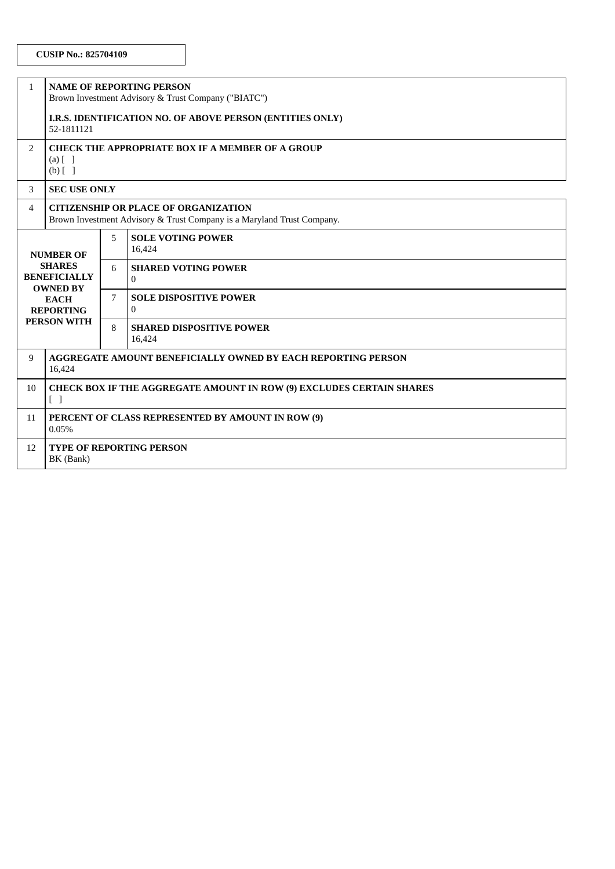| $\mathbf{1}$                                                                                                                         | <b>NAME OF REPORTING PERSON</b><br>Brown Investment Advisory & Trust Company ("BIATC")                                |   |                                               |  |  |
|--------------------------------------------------------------------------------------------------------------------------------------|-----------------------------------------------------------------------------------------------------------------------|---|-----------------------------------------------|--|--|
|                                                                                                                                      | I.R.S. IDENTIFICATION NO. OF ABOVE PERSON (ENTITIES ONLY)<br>52-1811121                                               |   |                                               |  |  |
| $\overline{2}$                                                                                                                       | <b>CHECK THE APPROPRIATE BOX IF A MEMBER OF A GROUP</b><br>$(a)$ $\begin{bmatrix} 1 \end{bmatrix}$<br>$(b)$ []        |   |                                               |  |  |
| 3                                                                                                                                    | <b>SEC USE ONLY</b>                                                                                                   |   |                                               |  |  |
| 4                                                                                                                                    | <b>CITIZENSHIP OR PLACE OF ORGANIZATION</b><br>Brown Investment Advisory & Trust Company is a Maryland Trust Company. |   |                                               |  |  |
| <b>NUMBER OF</b><br><b>SHARES</b><br><b>BENEFICIALLY</b><br><b>OWNED BY</b><br><b>EACH</b><br><b>REPORTING</b><br><b>PERSON WITH</b> |                                                                                                                       | 5 | <b>SOLE VOTING POWER</b><br>16,424            |  |  |
|                                                                                                                                      |                                                                                                                       | 6 | <b>SHARED VOTING POWER</b><br>$\overline{0}$  |  |  |
|                                                                                                                                      |                                                                                                                       | 7 | <b>SOLE DISPOSITIVE POWER</b><br>$\mathbf{0}$ |  |  |
|                                                                                                                                      |                                                                                                                       | 8 | <b>SHARED DISPOSITIVE POWER</b><br>16,424     |  |  |
| 9                                                                                                                                    | <b>AGGREGATE AMOUNT BENEFICIALLY OWNED BY EACH REPORTING PERSON</b><br>16,424                                         |   |                                               |  |  |
| 10                                                                                                                                   | <b>CHECK BOX IF THE AGGREGATE AMOUNT IN ROW (9) EXCLUDES CERTAIN SHARES</b><br>$\lceil$ $\rceil$                      |   |                                               |  |  |
| 11                                                                                                                                   | PERCENT OF CLASS REPRESENTED BY AMOUNT IN ROW (9)<br>0.05%                                                            |   |                                               |  |  |
| 12                                                                                                                                   | <b>TYPE OF REPORTING PERSON</b><br>BK (Bank)                                                                          |   |                                               |  |  |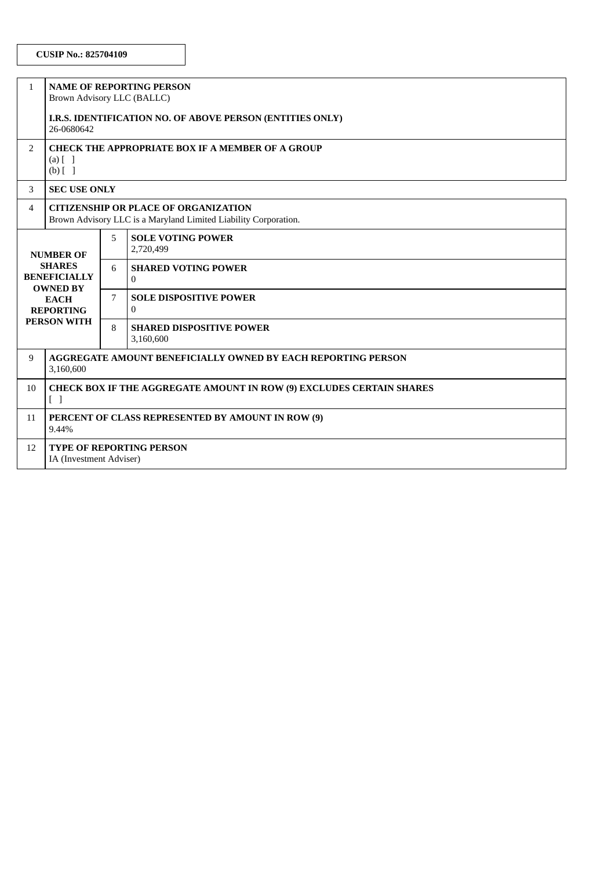| $\mathbf{1}$                                                                                                                         | <b>NAME OF REPORTING PERSON</b><br>Brown Advisory LLC (BALLC)                                                    |   |                                               |  |
|--------------------------------------------------------------------------------------------------------------------------------------|------------------------------------------------------------------------------------------------------------------|---|-----------------------------------------------|--|
|                                                                                                                                      | I.R.S. IDENTIFICATION NO. OF ABOVE PERSON (ENTITIES ONLY)<br>26-0680642                                          |   |                                               |  |
| $\overline{2}$                                                                                                                       | <b>CHECK THE APPROPRIATE BOX IF A MEMBER OF A GROUP</b><br>$(a)$ $\begin{bmatrix} 1 \end{bmatrix}$<br>$(b)$ []   |   |                                               |  |
| 3                                                                                                                                    | <b>SEC USE ONLY</b>                                                                                              |   |                                               |  |
| 4                                                                                                                                    | <b>CITIZENSHIP OR PLACE OF ORGANIZATION</b><br>Brown Advisory LLC is a Maryland Limited Liability Corporation.   |   |                                               |  |
| <b>NUMBER OF</b><br><b>SHARES</b><br><b>BENEFICIALLY</b><br><b>OWNED BY</b><br><b>EACH</b><br><b>REPORTING</b><br><b>PERSON WITH</b> |                                                                                                                  | 5 | <b>SOLE VOTING POWER</b><br>2,720,499         |  |
|                                                                                                                                      |                                                                                                                  | 6 | <b>SHARED VOTING POWER</b><br>$\Omega$        |  |
|                                                                                                                                      |                                                                                                                  | 7 | <b>SOLE DISPOSITIVE POWER</b><br>$\mathbf{0}$ |  |
|                                                                                                                                      |                                                                                                                  | 8 | <b>SHARED DISPOSITIVE POWER</b><br>3,160,600  |  |
| 9                                                                                                                                    | AGGREGATE AMOUNT BENEFICIALLY OWNED BY EACH REPORTING PERSON<br>3,160,600                                        |   |                                               |  |
| 10                                                                                                                                   | <b>CHECK BOX IF THE AGGREGATE AMOUNT IN ROW (9) EXCLUDES CERTAIN SHARES</b><br>$\begin{bmatrix} 1 \end{bmatrix}$ |   |                                               |  |
| 11                                                                                                                                   | PERCENT OF CLASS REPRESENTED BY AMOUNT IN ROW (9)<br>9.44%                                                       |   |                                               |  |
| 12                                                                                                                                   | <b>TYPE OF REPORTING PERSON</b><br>IA (Investment Adviser)                                                       |   |                                               |  |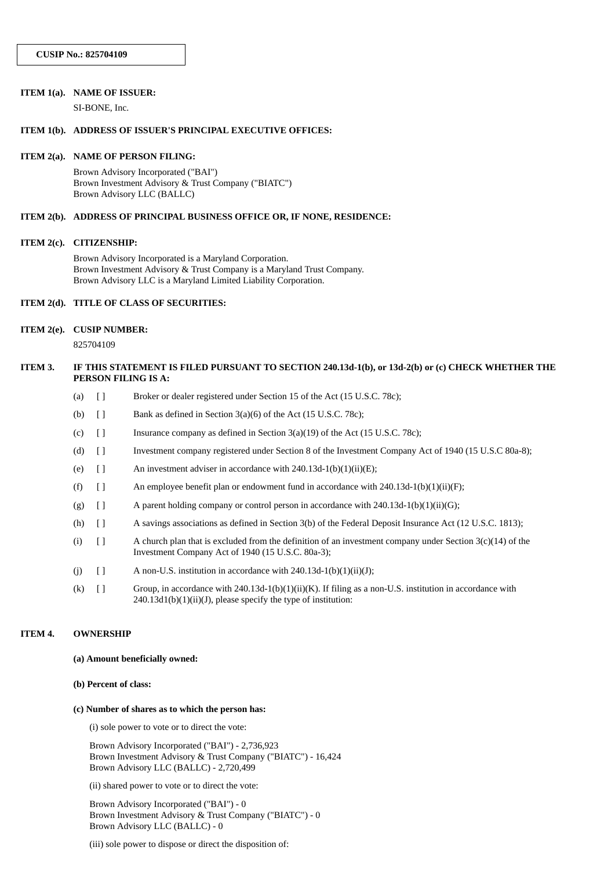#### **ITEM 1(a). NAME OF ISSUER:**

SI-BONE, Inc.

### **ITEM 1(b). ADDRESS OF ISSUER'S PRINCIPAL EXECUTIVE OFFICES:**

#### **ITEM 2(a). NAME OF PERSON FILING:**

Brown Advisory Incorporated ("BAI") Brown Investment Advisory & Trust Company ("BIATC") Brown Advisory LLC (BALLC)

#### **ITEM 2(b). ADDRESS OF PRINCIPAL BUSINESS OFFICE OR, IF NONE, RESIDENCE:**

### **ITEM 2(c). CITIZENSHIP:**

Brown Advisory Incorporated is a Maryland Corporation. Brown Investment Advisory & Trust Company is a Maryland Trust Company. Brown Advisory LLC is a Maryland Limited Liability Corporation.

#### **ITEM 2(d). TITLE OF CLASS OF SECURITIES:**

#### **ITEM 2(e). CUSIP NUMBER:**

825704109

## ITEM 3. IF THIS STATEMENT IS FILED PURSUANT TO SECTION 240.13d-1(b), or 13d-2(b) or (c) CHECK WHETHER THE **PERSON FILING IS A:**

- (a) [ ] Broker or dealer registered under Section 15 of the Act (15 U.S.C. 78c);
- (b)  $\Box$  Bank as defined in Section 3(a)(6) of the Act (15 U.S.C. 78c);
- (c) [ ] Insurance company as defined in Section 3(a)(19) of the Act (15 U.S.C. 78c);
- (d) [ ] Investment company registered under Section 8 of the Investment Company Act of 1940 (15 U.S.C 80a-8);
- (e)  $\lbrack$  An investment adviser in accordance with 240.13d-1(b)(1)(ii)(E);
- (f)  $\left[ \right]$  An employee benefit plan or endowment fund in accordance with 240.13d-1(b)(1)(ii)(F);
- (g)  $\left[\right]$  A parent holding company or control person in accordance with 240.13d-1(b)(1)(ii)(G);
- (h) [ ] A savings associations as defined in Section 3(b) of the Federal Deposit Insurance Act (12 U.S.C. 1813);
- (i)  $\left[ \ \right]$  A church plan that is excluded from the definition of an investment company under Section 3(c)(14) of the Investment Company Act of 1940 (15 U.S.C. 80a-3);
- (i)  $\left[ \right]$  A non-U.S. institution in accordance with 240.13d-1(b)(1)(ii)(J);
- (k) [ ] Group, in accordance with 240.13d-1(b)(1)(ii)(K). If filing as a non-U.S. institution in accordance with 240.13d1(b)(1)(ii)(J), please specify the type of institution:

#### **ITEM 4. OWNERSHIP**

### **(a) Amount beneficially owned:**

#### **(b) Percent of class:**

#### **(c) Number of shares as to which the person has:**

(i) sole power to vote or to direct the vote:

Brown Advisory Incorporated ("BAI") - 2,736,923 Brown Investment Advisory & Trust Company ("BIATC") - 16,424 Brown Advisory LLC (BALLC) - 2,720,499

(ii) shared power to vote or to direct the vote:

Brown Advisory Incorporated ("BAI") - 0 Brown Investment Advisory & Trust Company ("BIATC") - 0 Brown Advisory LLC (BALLC) - 0

(iii) sole power to dispose or direct the disposition of: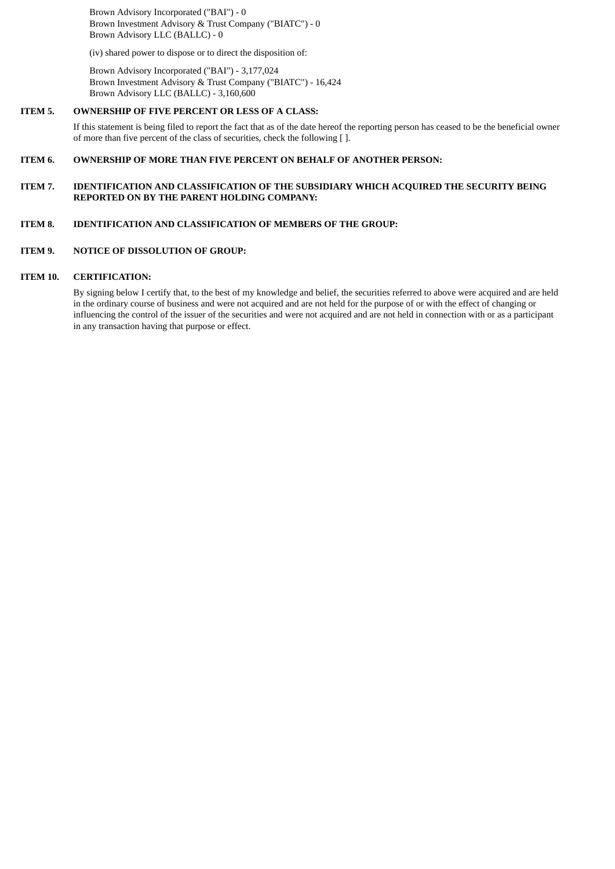Brown Advisory Incorporated ("BAI") - 0 Brown Investment Advisory & Trust Company ("BIATC") - 0 Brown Advisory LLC (BALLC) - 0

(iv) shared power to dispose or to direct the disposition of:

Brown Advisory Incorporated ("BAI") - 3,177,024 Brown Investment Advisory & Trust Company ("BIATC") - 16,424 Brown Advisory LLC (BALLC) - 3,160,600

## **ITEM 5. OWNERSHIP OF FIVE PERCENT OR LESS OF A CLASS:**

If this statement is being filed to report the fact that as of the date hereof the reporting person has ceased to be the beneficial owner of more than five percent of the class of securities, check the following [ ].

## **ITEM 6. OWNERSHIP OF MORE THAN FIVE PERCENT ON BEHALF OF ANOTHER PERSON:**

## **ITEM 7. IDENTIFICATION AND CLASSIFICATION OF THE SUBSIDIARY WHICH ACQUIRED THE SECURITY BEING REPORTED ON BY THE PARENT HOLDING COMPANY:**

# **ITEM 8. IDENTIFICATION AND CLASSIFICATION OF MEMBERS OF THE GROUP:**

### **ITEM 9. NOTICE OF DISSOLUTION OF GROUP:**

## **ITEM 10. CERTIFICATION:**

By signing below I certify that, to the best of my knowledge and belief, the securities referred to above were acquired and are held in the ordinary course of business and were not acquired and are not held for the purpose of or with the effect of changing or influencing the control of the issuer of the securities and were not acquired and are not held in connection with or as a participant in any transaction having that purpose or effect.